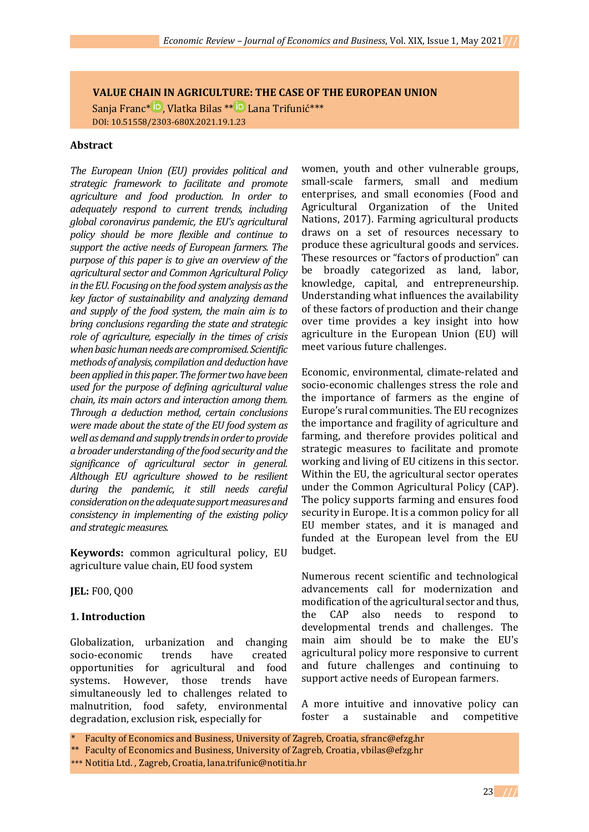## **VALUE CHAIN IN AGRICULTURE: THE CASE OF THE EUROPEAN UNION**

Sanja Franc<sup>\* iD</sup>[,](https://orcid.org/0000-0001-8787-4429) Vlatka Bilas [\\*](https://orcid.org/0000-0002-9021-6651)\* <sup>iD</sup> Lana Trifunić\*\*\* DOI: 10.51558/2303-680X.2021.19.1.23

#### **Abstract**

*The European Union (EU) provides political and strategic framework to facilitate and promote agriculture and food production. In order to adequately respond to current trends, including global coronavirus pandemic, the EU's agricultural policy should be more flexible and continue to support the active needs of European farmers. The purpose of this paper is to give an overview of the agricultural sector and Common Agricultural Policy in the EU. Focusing on the food system analysis as the key factor of sustainability and analyzing demand and supply of the food system, the main aim is to bring conclusions regarding the state and strategic role of agriculture, especially in the times of crisis when basic human needs are compromised. Scientific methods of analysis, compilation and deduction have been applied in this paper. The former two have been used for the purpose of defining agricultural value chain, its main actors and interaction among them. Through a deduction method, certain conclusions were made about the state of the EU food system as well as demand and supply trends in order to provide a broader understanding of the food security and the significance of agricultural sector in general. Although EU agriculture showed to be resilient during the pandemic, it still needs careful consideration on the adequate support measures and consistency in implementing of the existing policy and strategic measures.*

**Keywords:** common agricultural policy, EU agriculture value chain, EU food system

**JEL:** F00, Q00

#### **1. Introduction**

Globalization, urbanization and changing socio-economic trends have created opportunities for agricultural and food systems. However, those trends have simultaneously led to challenges related to malnutrition, food safety, environmental degradation, exclusion risk, especially for

women, youth and other vulnerable groups, small-scale farmers, small and medium enterprises, and small economies (Food and Agricultural Organization of the United Nations, 2017). Farming agricultural products draws on a set of resources necessary to produce these agricultural goods and services. These resources or "factors of production" can be broadly categorized as land, labor, knowledge, capital, and entrepreneurship. Understanding what influences the availability of these factors of production and their change over time provides a key insight into how agriculture in the European Union (EU) will meet various future challenges.

Economic, environmental, climate-related and socio-economic challenges stress the role and the importance of farmers as the engine of Europe's rural communities. The EU recognizes the importance and fragility of agriculture and farming, and therefore provides political and strategic measures to facilitate and promote working and living of EU citizens in this sector. Within the EU, the agricultural sector operates under the Common Agricultural Policy (CAP). The policy supports farming and ensures food security in Europe. It is a common policy for all EU member states, and it is managed and funded at the European level from the EU budget.

Numerous recent scientific and technological advancements call for modernization and modification of the agricultural sector and thus, the CAP also needs to respond to developmental trends and challenges. The main aim should be to make the EU's agricultural policy more responsive to current and future challenges and continuing to support active needs of European farmers.

A more intuitive and innovative policy can foster a sustainable and competitive

Faculty of Economics and Business, University of Zagreb, Croatia, sfranc@efzg.hr

\*\*\* Notitia Ltd. , Zagreb, Croatia, lana.trifunic@notitia.hr

<sup>\*\*</sup> Faculty of Economics and Business, University of Zagreb, Croatia, vbilas@efzg.hr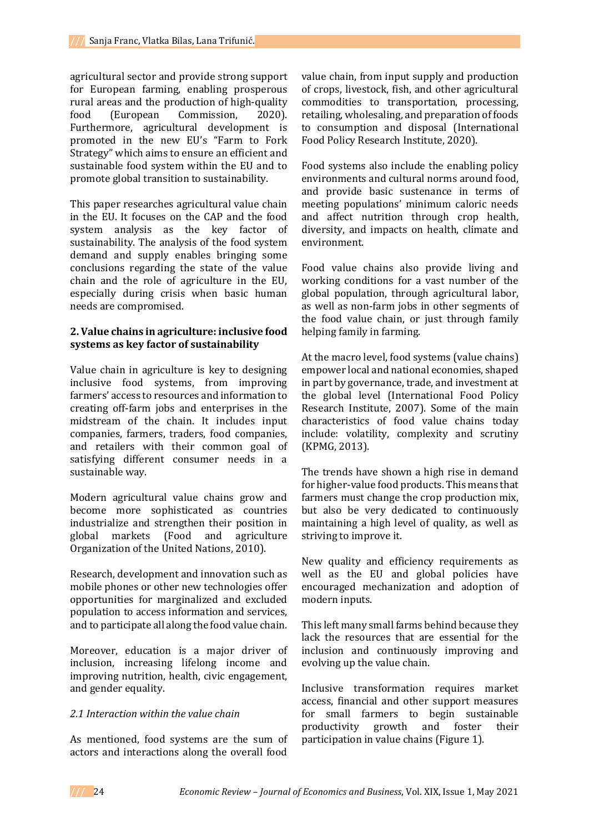agricultural sector and provide strong support for European farming, enabling prosperous rural areas and the production of high-quality food (European Commission, 2020). Furthermore, agricultural development is promoted in the new EU's "Farm to Fork Strategy" which aims to ensure an efficient and sustainable food system within the EU and to promote global transition to sustainability.

This paper researches agricultural value chain in the EU. It focuses on the CAP and the food system analysis as the key factor of sustainability. The analysis of the food system demand and supply enables bringing some conclusions regarding the state of the value chain and the role of agriculture in the EU, especially during crisis when basic human needs are compromised.

### **2. Value chains in agriculture: inclusive food systems as key factor of sustainability**

Value chain in agriculture is key to designing inclusive food systems, from improving farmers' access to resources and information to creating off-farm jobs and enterprises in the midstream of the chain. It includes input companies, farmers, traders, food companies, and retailers with their common goal of satisfying different consumer needs in a sustainable way.

Modern agricultural value chains grow and become more sophisticated as countries industrialize and strengthen their position in global markets (Food and agriculture Organization of the United Nations, 2010).

Research, development and innovation such as mobile phones or other new technologies offer opportunities for marginalized and excluded population to access information and services, and to participate all along the food value chain.

Moreover, education is a major driver of inclusion, increasing lifelong income and improving nutrition, health, civic engagement, and gender equality.

## *2.1 Interaction within the value chain*

As mentioned, food systems are the sum of actors and interactions along the overall food

value chain, from input supply and production of crops, livestock, fish, and other agricultural commodities to transportation, processing, retailing, wholesaling, and preparation of foods to consumption and disposal (International Food Policy Research Institute, 2020).

Food systems also include the enabling policy environments and cultural norms around food, and provide basic sustenance in terms of meeting populations' minimum caloric needs and affect nutrition through crop health, diversity, and impacts on health, climate and environment.

Food value chains also provide living and working conditions for a vast number of the global population, through agricultural labor, as well as non-farm jobs in other segments of the food value chain, or just through family helping family in farming.

At the macro level, food systems (value chains) empower local and national economies, shaped in part by governance, trade, and investment at the global level (International Food Policy Research Institute, 2007). Some of the main characteristics of food value chains today include: volatility, complexity and scrutiny (KPMG, 2013).

The trends have shown a high rise in demand for higher-value food products. This means that farmers must change the crop production mix, but also be very dedicated to continuously maintaining a high level of quality, as well as striving to improve it.

New quality and efficiency requirements as well as the EU and global policies have encouraged mechanization and adoption of modern inputs.

This left many small farms behind because they lack the resources that are essential for the inclusion and continuously improving and evolving up the value chain.

Inclusive transformation requires market access, financial and other support measures for small farmers to begin sustainable productivity growth and foster their participation in value chains (Figure 1).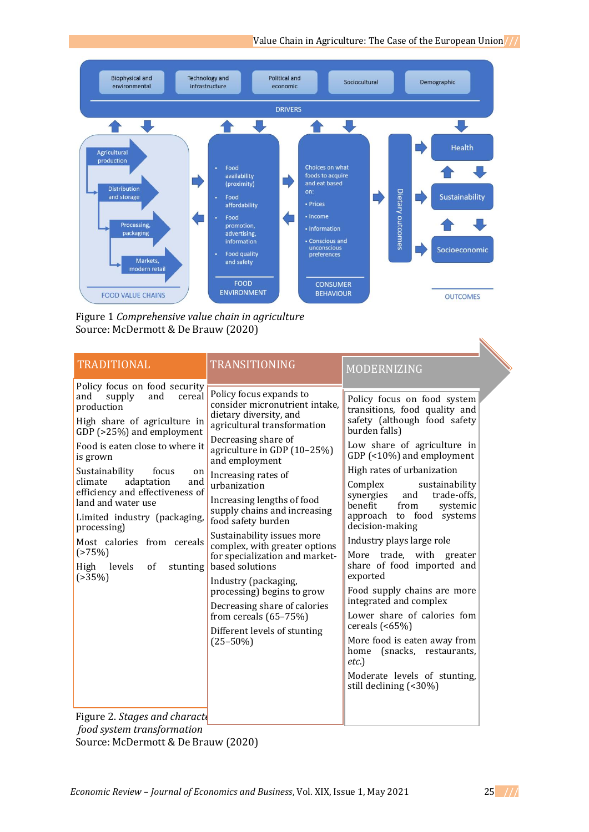

Figure 1 *Comprehensive value chain in agriculture* Source: McDermott & De Brauw (2020)

| <b>TRADITIONAL</b>                                                                                                                                                                                                                                                                                                                                                                                                                                              | <b>TRANSITIONING</b>                                                                                                                                                                                                                                                                                                                                                                                                                                                                                                                                                                                        | MODERNIZING                                                                                                                                                                                                                                                                                                                                                                                                                                                                                                                                                                                                                                                                                                 |
|-----------------------------------------------------------------------------------------------------------------------------------------------------------------------------------------------------------------------------------------------------------------------------------------------------------------------------------------------------------------------------------------------------------------------------------------------------------------|-------------------------------------------------------------------------------------------------------------------------------------------------------------------------------------------------------------------------------------------------------------------------------------------------------------------------------------------------------------------------------------------------------------------------------------------------------------------------------------------------------------------------------------------------------------------------------------------------------------|-------------------------------------------------------------------------------------------------------------------------------------------------------------------------------------------------------------------------------------------------------------------------------------------------------------------------------------------------------------------------------------------------------------------------------------------------------------------------------------------------------------------------------------------------------------------------------------------------------------------------------------------------------------------------------------------------------------|
| Policy focus on food security<br>supply<br>and<br>cereal<br>and<br>production<br>High share of agriculture in<br>GDP (>25%) and employment<br>Food is eaten close to where it<br>is grown<br>Sustainability<br>focus<br>on  <br>adaptation<br>climate<br>and<br>efficiency and effectiveness of<br>land and water use<br>Limited industry (packaging,<br>processing)<br>Most calories from cereals<br>(>75%)<br>High<br>levels<br>of<br>stunting<br>$( > 35\%)$ | Policy focus expands to<br>consider micronutrient intake,<br>dietary diversity, and<br>agricultural transformation<br>Decreasing share of<br>agriculture in GDP (10-25%)<br>and employment<br>Increasing rates of<br>urbanization<br>Increasing lengths of food<br>supply chains and increasing<br>food safety burden<br>Sustainability issues more<br>complex, with greater options<br>for specialization and market-<br>based solutions<br>Industry (packaging,<br>processing) begins to grow<br>Decreasing share of calories<br>from cereals $(65-75%)$<br>Different levels of stunting<br>$(25 - 50\%)$ | Policy focus on food system<br>transitions, food quality and<br>safety (although food safety<br>burden falls)<br>Low share of agriculture in<br>GDP (<10%) and employment<br>High rates of urbanization<br>Complex<br>sustainability<br>and<br>trade-offs,<br>synergies<br>benefit<br>from<br>systemic<br>approach to food<br>systems<br>decision-making<br>Industry plays large role<br>More trade, with greater<br>share of food imported and<br>exported<br>Food supply chains are more<br>integrated and complex<br>Lower share of calories fom<br>cereals $($ <65%)<br>More food is eaten away from<br>(snacks, restaurants,<br>home<br>etc.<br>Moderate levels of stunting,<br>still declining (<30%) |
| Figure 2, Stages and characte                                                                                                                                                                                                                                                                                                                                                                                                                                   |                                                                                                                                                                                                                                                                                                                                                                                                                                                                                                                                                                                                             |                                                                                                                                                                                                                                                                                                                                                                                                                                                                                                                                                                                                                                                                                                             |

**Figure 2. Stages and character** *food system transformation* Source: McDermott & De Brauw (2020)

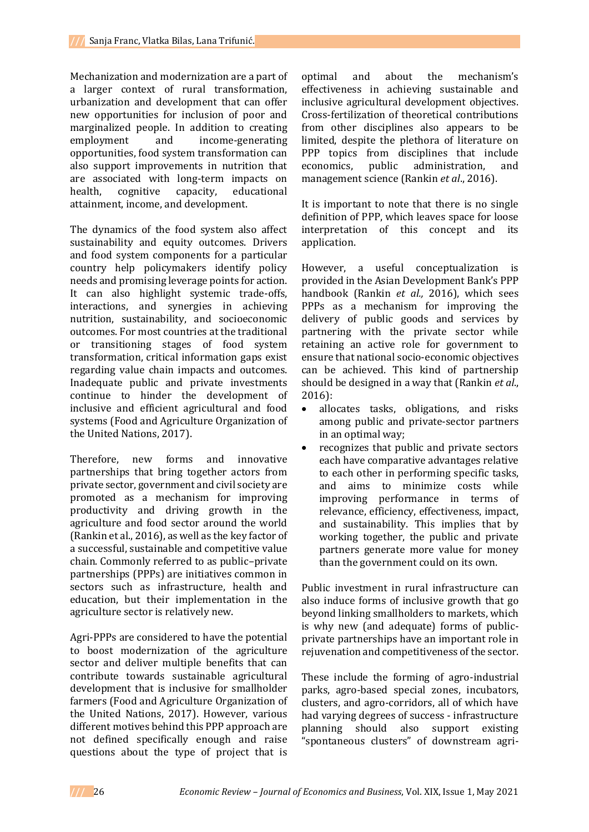Mechanization and modernization are a part of a larger context of rural transformation, urbanization and development that can offer new opportunities for inclusion of poor and marginalized people. In addition to creating employment and income-generating opportunities, food system transformation can also support improvements in nutrition that are associated with long-term impacts on health, cognitive capacity, educational attainment, income, and development.

The dynamics of the food system also affect sustainability and equity outcomes. Drivers and food system components for a particular country help policymakers identify policy needs and promising leverage points for action. It can also highlight systemic trade-offs, interactions, and synergies in achieving nutrition, sustainability, and socioeconomic outcomes. For most countries at the traditional or transitioning stages of food system transformation, critical information gaps exist regarding value chain impacts and outcomes. Inadequate public and private investments continue to hinder the development of inclusive and efficient agricultural and food systems (Food and Agriculture Organization of the United Nations, 2017).

Therefore, new forms and innovative partnerships that bring together actors from private sector, government and civil society are promoted as a mechanism for improving productivity and driving growth in the agriculture and food sector around the world (Rankin et al., 2016), as well as the key factor of a successful, sustainable and competitive value chain. Commonly referred to as public–private partnerships (PPPs) are initiatives common in sectors such as infrastructure, health and education, but their implementation in the agriculture sector is relatively new.

Agri-PPPs are considered to have the potential to boost modernization of the agriculture sector and deliver multiple benefits that can contribute towards sustainable agricultural development that is inclusive for smallholder farmers (Food and Agriculture Organization of the United Nations, 2017). However, various different motives behind this PPP approach are not defined specifically enough and raise questions about the type of project that is

optimal and about the mechanism's effectiveness in achieving sustainable and inclusive agricultural development objectives. Cross-fertilization of theoretical contributions from other disciplines also appears to be limited, despite the plethora of literature on PPP topics from disciplines that include economics, public administration, and management science (Rankin *et al*., 2016).

It is important to note that there is no single definition of PPP, which leaves space for loose interpretation of this concept and its application.

However, a useful conceptualization is provided in the Asian Development Bank's PPP handbook (Rankin *et al.,* 2016), which sees PPPs as a mechanism for improving the delivery of public goods and services by partnering with the private sector while retaining an active role for government to ensure that national socio-economic objectives can be achieved. This kind of partnership should be designed in a way that (Rankin *et al*., 2016):

- allocates tasks, obligations, and risks among public and private-sector partners in an optimal way;
- recognizes that public and private sectors each have comparative advantages relative to each other in performing specific tasks, and aims to minimize costs while improving performance in terms of relevance, efficiency, effectiveness, impact, and sustainability. This implies that by working together, the public and private partners generate more value for money than the government could on its own.

Public investment in rural infrastructure can also induce forms of inclusive growth that go beyond linking smallholders to markets, which is why new (and adequate) forms of publicprivate partnerships have an important role in rejuvenation and competitiveness of the sector.

These include the forming of agro-industrial parks, agro-based special zones, incubators, clusters, and agro-corridors, all of which have had varying degrees of success - infrastructure planning should also support existing "spontaneous clusters" of downstream agri-

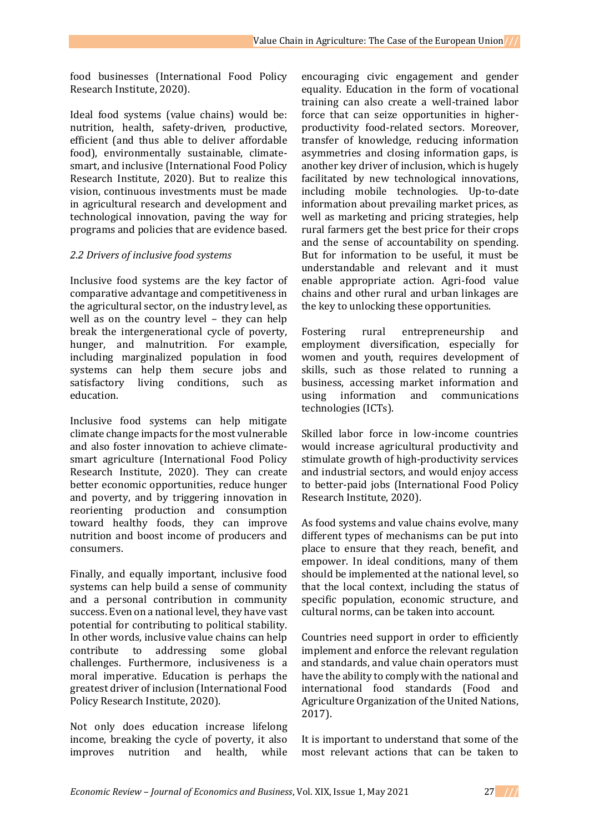food businesses (International Food Policy Research Institute, 2020).

Ideal food systems (value chains) would be: nutrition, health, safety-driven, productive, efficient (and thus able to deliver affordable food), environmentally sustainable, climatesmart, and inclusive (International Food Policy Research Institute, 2020). But to realize this vision, continuous investments must be made in agricultural research and development and technological innovation, paving the way for programs and policies that are evidence based.

# *2.2 Drivers of inclusive food systems*

Inclusive food systems are the key factor of comparative advantage and competitiveness in the agricultural sector, on the industry level, as well as on the country level – they can help break the intergenerational cycle of poverty, hunger, and malnutrition. For example, including marginalized population in food systems can help them secure jobs and satisfactory living conditions, such as education.

Inclusive food systems can help mitigate climate change impacts for the most vulnerable and also foster innovation to achieve climatesmart agriculture (International Food Policy Research Institute, 2020). They can create better economic opportunities, reduce hunger and poverty, and by triggering innovation in reorienting production and consumption toward healthy foods, they can improve nutrition and boost income of producers and consumers.

Finally, and equally important, inclusive food systems can help build a sense of community and a personal contribution in community success. Even on a national level, they have vast potential for contributing to political stability. In other words, inclusive value chains can help contribute to addressing some global challenges. Furthermore, inclusiveness is a moral imperative. Education is perhaps the greatest driver of inclusion (International Food Policy Research Institute, 2020).

Not only does education increase lifelong income, breaking the cycle of poverty, it also improves nutrition and health, while

encouraging civic engagement and gender equality. Education in the form of vocational training can also create a well-trained labor force that can seize opportunities in higherproductivity food-related sectors. Moreover, transfer of knowledge, reducing information asymmetries and closing information gaps, is another key driver of inclusion, which is hugely facilitated by new technological innovations, including mobile technologies. Up-to-date information about prevailing market prices, as well as marketing and pricing strategies, help rural farmers get the best price for their crops and the sense of accountability on spending. But for information to be useful, it must be understandable and relevant and it must enable appropriate action. Agri-food value chains and other rural and urban linkages are the key to unlocking these opportunities.

Fostering rural entrepreneurship and employment diversification, especially for women and youth, requires development of skills, such as those related to running a business, accessing market information and using information and communications technologies (ICTs).

Skilled labor force in low-income countries would increase agricultural productivity and stimulate growth of high-productivity services and industrial sectors, and would enjoy access to better-paid jobs (International Food Policy Research Institute, 2020).

As food systems and value chains evolve, many different types of mechanisms can be put into place to ensure that they reach, benefit, and empower. In ideal conditions, many of them should be implemented at the national level, so that the local context, including the status of specific population, economic structure, and cultural norms, can be taken into account.

Countries need support in order to efficiently implement and enforce the relevant regulation and standards, and value chain operators must have the ability to comply with the national and international food standards (Food and Agriculture Organization of the United Nations, 2017).

It is important to understand that some of the most relevant actions that can be taken to

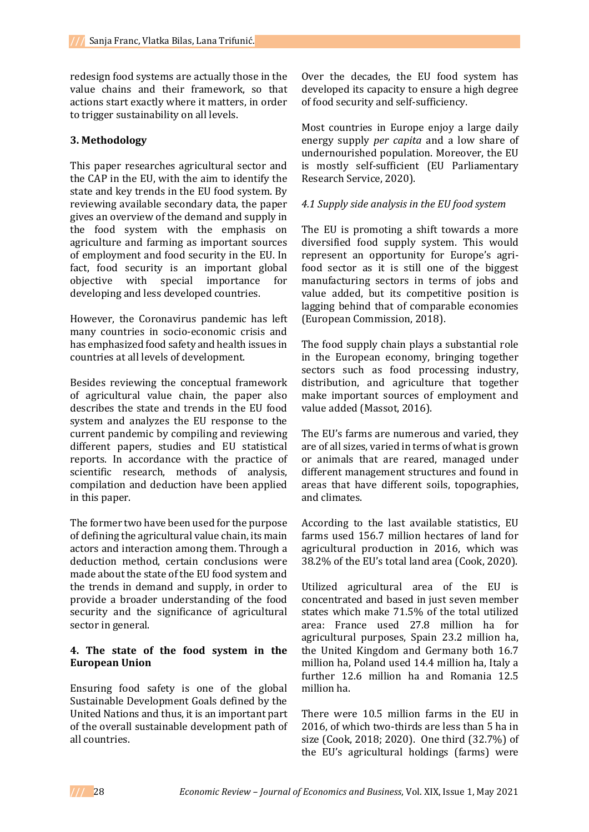redesign food systems are actually those in the value chains and their framework, so that actions start exactly where it matters, in order to trigger sustainability on all levels.

### **3. Methodology**

This paper researches agricultural sector and the CAP in the EU, with the aim to identify the state and key trends in the EU food system. By reviewing available secondary data, the paper gives an overview of the demand and supply in the food system with the emphasis on agriculture and farming as important sources of employment and food security in the EU. In fact, food security is an important global objective with special importance for developing and less developed countries.

However, the Coronavirus pandemic has left many countries in socio-economic crisis and has emphasized food safety and health issues in countries at all levels of development.

Besides reviewing the conceptual framework of agricultural value chain, the paper also describes the state and trends in the EU food system and analyzes the EU response to the current pandemic by compiling and reviewing different papers, studies and EU statistical reports. In accordance with the practice of scientific research, methods of analysis, compilation and deduction have been applied in this paper.

The former two have been used for the purpose of defining the agricultural value chain, its main actors and interaction among them. Through a deduction method, certain conclusions were made about the state of the EU food system and the trends in demand and supply, in order to provide a broader understanding of the food security and the significance of agricultural sector in general.

### **4. The state of the food system in the European Union**

Ensuring food safety is one of the global Sustainable Development Goals defined by the United Nations and thus, it is an important part of the overall sustainable development path of all countries.

Over the decades, the EU food system has developed its capacity to ensure a high degree of food security and self-sufficiency.

Most countries in Europe enjoy a large daily energy supply *per capita* and a low share of undernourished population. Moreover, the EU is mostly self-sufficient (EU Parliamentary Research Service, 2020).

### *4.1 Supply side analysis in the EU food system*

The EU is promoting a shift towards a more diversified food supply system. This would represent an opportunity for Europe's agrifood sector as it is still one of the biggest manufacturing sectors in terms of jobs and value added, but its competitive position is lagging behind that of comparable economies (European Commission, 2018).

The food supply chain plays a substantial role in the European economy, bringing together sectors such as food processing industry, distribution, and agriculture that together make important sources of employment and value added (Massot, 2016).

The EU's farms are numerous and varied, they are of all sizes, varied in terms of what is grown or animals that are reared, managed under different management structures and found in areas that have different soils, topographies, and climates.

According to the last available statistics, EU farms used 156.7 million hectares of land for agricultural production in 2016, which was 38.2% of the EU's total land area (Cook, 2020).

Utilized agricultural area of the EU is concentrated and based in just seven member states which make 71.5% of the total utilized area: France used 27.8 million ha for agricultural purposes, Spain 23.2 million ha, the United Kingdom and Germany both 16.7 million ha, Poland used 14.4 million ha, Italy a further 12.6 million ha and Romania 12.5 million ha.

There were 10.5 million farms in the EU in 2016, of which two-thirds are less than 5 ha in size (Cook, 2018; 2020). One third (32.7%) of the EU's agricultural holdings (farms) were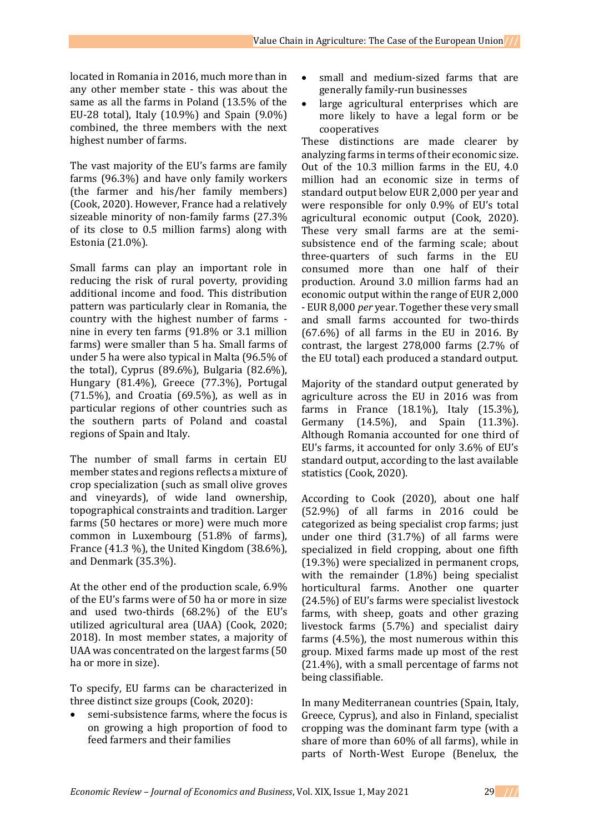located in Romania in 2016, much more than in any other member state - this was about the same as all the farms in Poland (13.5% of the EU-28 total), Italy (10.9%) and Spain (9.0%) combined, the three members with the next highest number of farms.

The vast majority of the EU's farms are family farms (96.3%) and have only family workers (the farmer and his/her family members) (Cook, 2020). However, France had a relatively sizeable minority of non-family farms (27.3% of its close to 0.5 million farms) along with Estonia (21.0%).

Small farms can play an important role in reducing the risk of rural poverty, providing additional income and food. This distribution pattern was particularly clear in Romania, the country with the highest number of farms nine in every ten farms (91.8% or 3.1 million farms) were smaller than 5 ha. Small farms of under 5 ha were also typical in Malta (96.5% of the total), Cyprus (89.6%), Bulgaria (82.6%), Hungary (81.4%), Greece (77.3%), Portugal  $(71.5\%)$ , and Croatia  $(69.5\%)$ , as well as in particular regions of other countries such as the southern parts of Poland and coastal regions of Spain and Italy.

The number of small farms in certain EU member states and regions reflects a mixture of crop specialization (such as small olive groves and vineyards), of wide land ownership, topographical constraints and tradition. Larger farms (50 hectares or more) were much more common in Luxembourg (51.8% of farms), France (41.3 %), the United Kingdom (38.6%), and Denmark (35.3%).

At the other end of the production scale, 6.9% of the EU's farms were of 50 ha or more in size and used two-thirds (68.2%) of the EU's utilized agricultural area (UAA) (Cook, 2020; 2018). In most member states, a majority of UAA was concentrated on the largest farms (50 ha or more in size).

To specify, EU farms can be characterized in three distinct size groups (Cook, 2020):

 semi-subsistence farms, where the focus is on growing a high proportion of food to feed farmers and their families

- small and medium-sized farms that are generally family-run businesses
- large agricultural enterprises which are more likely to have a legal form or be cooperatives

These distinctions are made clearer by analyzing farms in terms of their economic size. Out of the 10.3 million farms in the EU, 4.0 million had an economic size in terms of standard output below EUR 2,000 per year and were responsible for only 0.9% of EU's total agricultural economic output (Cook, 2020). These very small farms are at the semisubsistence end of the farming scale; about three-quarters of such farms in the EU consumed more than one half of their production. Around 3.0 million farms had an economic output within the range of EUR 2,000 - EUR 8,000 *per* year. Together these very small and small farms accounted for two-thirds  $(67.6\%)$  of all farms in the EU in 2016. By contrast, the largest 278,000 farms (2.7% of the EU total) each produced a standard output.

Majority of the standard output generated by agriculture across the EU in 2016 was from farms in France (18.1%), Italy (15.3%), Germany (14.5%), and Spain (11.3%). Although Romania accounted for one third of EU's farms, it accounted for only 3.6% of EU's standard output, according to the last available statistics (Cook, 2020).

According to Cook (2020), about one half (52.9%) of all farms in 2016 could be categorized as being specialist crop farms; just under one third (31.7%) of all farms were specialized in field cropping, about one fifth (19.3%) were specialized in permanent crops, with the remainder (1.8%) being specialist horticultural farms. Another one quarter (24.5%) of EU's farms were specialist livestock farms, with sheep, goats and other grazing livestock farms (5.7%) and specialist dairy farms (4.5%), the most numerous within this group. Mixed farms made up most of the rest (21.4%), with a small percentage of farms not being classifiable.

In many Mediterranean countries (Spain, Italy, Greece, Cyprus), and also in Finland, specialist cropping was the dominant farm type (with a share of more than 60% of all farms), while in parts of North-West Europe (Benelux, the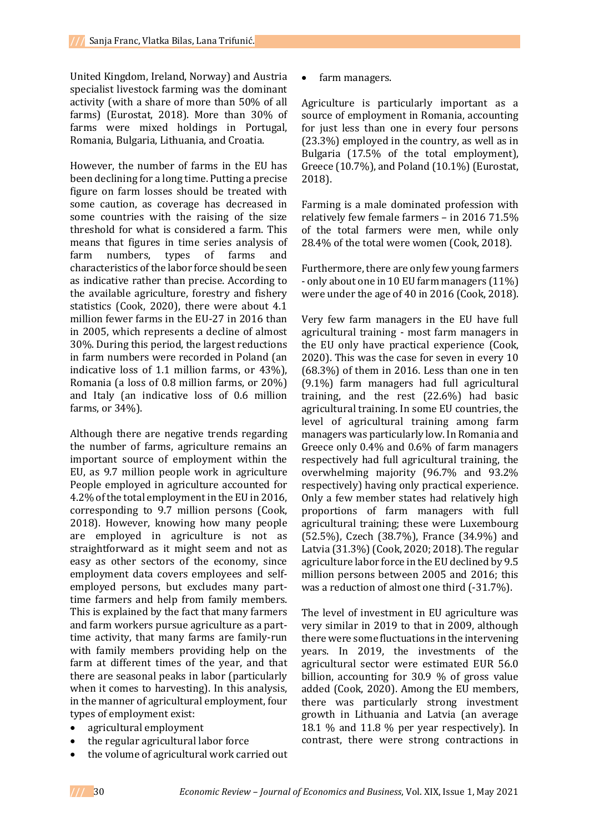United Kingdom, Ireland, Norway) and Austria specialist livestock farming was the dominant activity (with a share of more than 50% of all farms) (Eurostat, 2018). More than 30% of farms were mixed holdings in Portugal, Romania, Bulgaria, Lithuania, and Croatia.

However, the number of farms in the EU has been declining for a long time. Putting a precise figure on farm losses should be treated with some caution, as coverage has decreased in some countries with the raising of the size threshold for what is considered a farm. This means that figures in time series analysis of farm numbers, types of farms and characteristics of the labor force should be seen as indicative rather than precise. According to the available agriculture, forestry and fishery statistics (Cook, 2020), there were about 4.1 million fewer farms in the EU-27 in 2016 than in 2005, which represents a decline of almost 30%. During this period, the largest reductions in farm numbers were recorded in Poland (an indicative loss of 1.1 million farms, or 43%), Romania (a loss of 0.8 million farms, or 20%) and Italy (an indicative loss of 0.6 million farms, or 34%).

Although there are negative trends regarding the number of farms, agriculture remains an important source of employment within the EU, as 9.7 million people work in agriculture People employed in agriculture accounted for 4.2% of the total employment in the EU in 2016, corresponding to 9.7 million persons (Cook, 2018). However, knowing how many people are employed in agriculture is not as straightforward as it might seem and not as easy as other sectors of the economy, since employment data covers employees and selfemployed persons, but excludes many parttime farmers and help from family members. This is explained by the fact that many farmers and farm workers pursue agriculture as a parttime activity, that many farms are family-run with family members providing help on the farm at different times of the year, and that there are seasonal peaks in labor (particularly when it comes to harvesting). In this analysis, in the manner of agricultural employment, four types of employment exist:

- agricultural employment
- the regular agricultural labor force
- the volume of agricultural work carried out

• farm managers.

Agriculture is particularly important as a source of employment in Romania, accounting for just less than one in every four persons (23.3%) employed in the country, as well as in Bulgaria (17.5% of the total employment), Greece (10.7%), and Poland (10.1%) (Eurostat, 2018).

Farming is a male dominated profession with relatively few female farmers – in 2016 71.5% of the total farmers were men, while only 28.4% of the total were women (Cook, 2018).

Furthermore, there are only few young farmers - only about one in 10 EU farm managers (11%) were under the age of 40 in 2016 (Cook, 2018).

Very few farm managers in the EU have full agricultural training - most farm managers in the EU only have practical experience (Cook, 2020). This was the case for seven in every 10 (68.3%) of them in 2016. Less than one in ten (9.1%) farm managers had full agricultural training, and the rest (22.6%) had basic agricultural training. In some EU countries, the level of agricultural training among farm managers was particularly low. In Romania and Greece only 0.4% and 0.6% of farm managers respectively had full agricultural training, the overwhelming majority (96.7% and 93.2% respectively) having only practical experience. Only a few member states had relatively high proportions of farm managers with full agricultural training; these were Luxembourg (52.5%), Czech (38.7%), France (34.9%) and Latvia (31.3%) (Cook, 2020; 2018). The regular agriculture labor force in the EU declined by 9.5 million persons between 2005 and 2016; this was a reduction of almost one third (-31.7%).

The level of investment in EU agriculture was very similar in 2019 to that in 2009, although there were some fluctuations in the intervening years. In 2019, the investments of the agricultural sector were estimated EUR 56.0 billion, accounting for 30.9 % of gross value added (Cook, 2020). Among the EU members, there was particularly strong investment growth in Lithuania and Latvia (an average 18.1 % and 11.8 % per year respectively). In contrast, there were strong contractions in

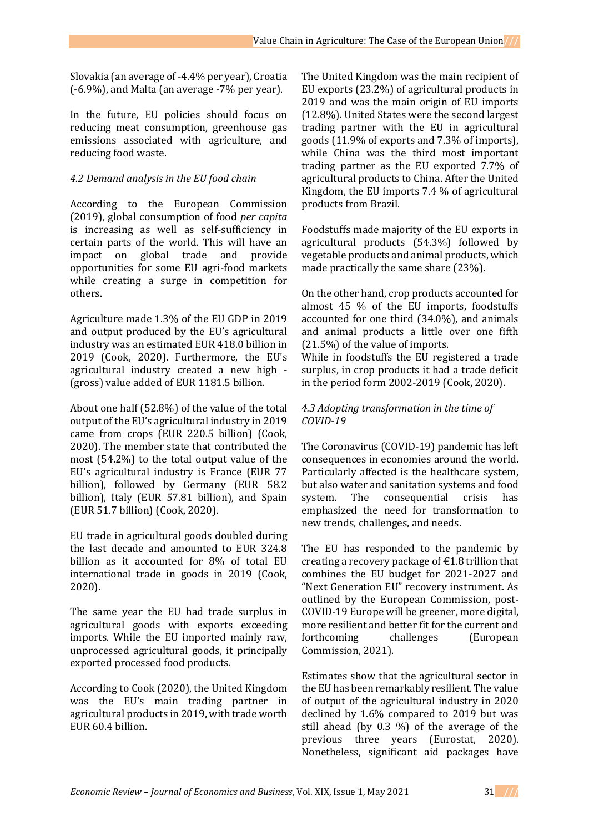Slovakia (an average of -4.4% per year), Croatia (-6.9%), and Malta (an average -7% per year).

In the future, EU policies should focus on reducing meat consumption, greenhouse gas emissions associated with agriculture, and reducing food waste.

#### *4.2 Demand analysis in the EU food chain*

According to the European Commission (2019), global consumption of food *per capita* is increasing as well as self-sufficiency in certain parts of the world. This will have an impact on global trade and provide opportunities for some EU agri-food markets while creating a surge in competition for others.

Agriculture made 1.3% of the EU GDP in 2019 and output produced by the EU's agricultural industry was an estimated EUR 418.0 billion in 2019 (Cook, 2020). Furthermore, the EU's agricultural industry created a new high - (gross) value added of EUR 1181.5 billion.

About one half (52.8%) of the value of the total output of the EU's agricultural industry in 2019 came from crops (EUR 220.5 billion) (Cook, 2020). The member state that contributed the most (54.2%) to the total output value of the EU's agricultural industry is France (EUR 77 billion), followed by Germany (EUR 58.2 billion), Italy (EUR 57.81 billion), and Spain (EUR 51.7 billion) (Cook, 2020).

EU trade in agricultural goods doubled during the last decade and amounted to EUR 324.8 billion as it accounted for 8% of total EU international trade in goods in 2019 (Cook, 2020).

The same year the EU had trade surplus in agricultural goods with exports exceeding imports. While the EU imported mainly raw, unprocessed agricultural goods, it principally exported processed food products.

According to Cook (2020), the United Kingdom was the EU's main trading partner in agricultural products in 2019, with trade worth EUR 60.4 billion.

The United Kingdom was the main recipient of EU exports (23.2%) of agricultural products in 2019 and was the main origin of EU imports (12.8%). United States were the second largest trading partner with the EU in agricultural goods (11.9% of exports and 7.3% of imports), while China was the third most important trading partner as the EU exported 7.7% of agricultural products to China. After the United Kingdom, the EU imports 7.4 % of agricultural products from Brazil.

Foodstuffs made majority of the EU exports in agricultural products (54.3%) followed by vegetable products and animal products, which made practically the same share (23%).

On the other hand, crop products accounted for almost 45 % of the EU imports, foodstuffs accounted for one third (34.0%), and animals and animal products a little over one fifth (21.5%) of the value of imports.

While in foodstuffs the EU registered a trade surplus, in crop products it had a trade deficit in the period form 2002-2019 (Cook, 2020).

### *4.3 Adopting transformation in the time of COVID-19*

The Coronavirus (COVID-19) pandemic has left consequences in economies around the world. Particularly affected is the healthcare system, but also water and sanitation systems and food system. The consequential crisis has emphasized the need for transformation to new trends, challenges, and needs.

The EU has responded to the pandemic by creating a recovery package of  $\epsilon$ 1.8 trillion that combines the EU budget for 2021-2027 and "Next Generation EU" recovery instrument. As outlined by the European Commission, post-COVID-19 Europe will be greener, more digital, more resilient and better fit for the current and forthcoming challenges (European Commission, 2021).

Estimates show that the agricultural sector in the EU has been remarkably resilient. The value of output of the agricultural industry in 2020 declined by 1.6% compared to 2019 but was still ahead (by 0.3 %) of the average of the previous three years (Eurostat, 2020). Nonetheless, significant aid packages have

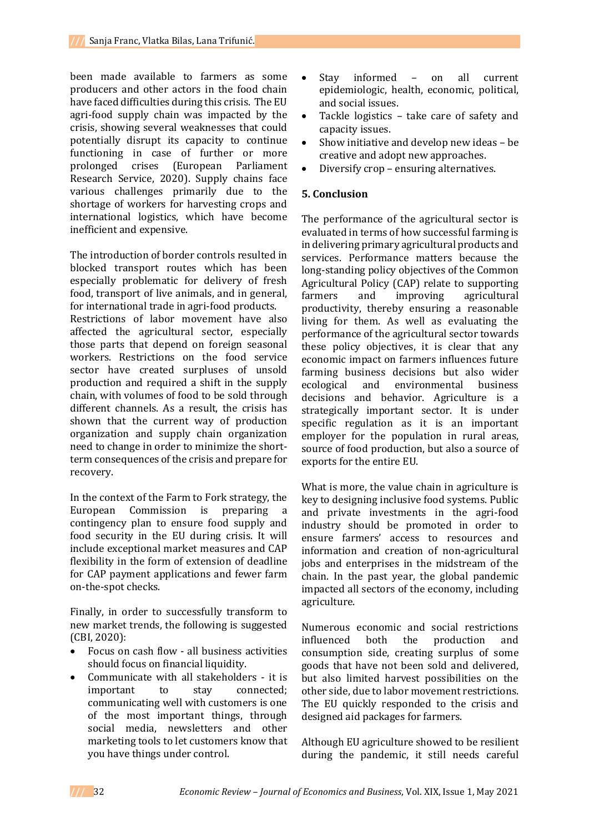been made available to farmers as some producers and other actors in the food chain have faced difficulties during this crisis. The EU agri-food supply chain was impacted by the crisis, showing several weaknesses that could potentially disrupt its capacity to continue functioning in case of further or more prolonged crises (European Parliament Research Service, 2020). Supply chains face various challenges primarily due to the shortage of workers for harvesting crops and international logistics, which have become inefficient and expensive.

The introduction of border controls resulted in blocked transport routes which has been especially problematic for delivery of fresh food, transport of live animals, and in general, for international trade in agri-food products.

Restrictions of labor movement have also affected the agricultural sector, especially those parts that depend on foreign seasonal workers. Restrictions on the food service sector have created surpluses of unsold production and required a shift in the supply chain, with volumes of food to be sold through different channels. As a result, the crisis has shown that the current way of production organization and supply chain organization need to change in order to minimize the shortterm consequences of the crisis and prepare for recovery.

In the context of the Farm to Fork strategy, the European Commission is preparing contingency plan to ensure food supply and food security in the EU during crisis. It will include exceptional market measures and CAP flexibility in the form of extension of deadline for CAP payment applications and fewer farm on-the-spot checks.

Finally, in order to successfully transform to new market trends, the following is suggested (CBI, 2020):

- Focus on cash flow all business activities should focus on financial liquidity.
- Communicate with all stakeholders it is important to stay connected; communicating well with customers is one of the most important things, through social media, newsletters and other marketing tools to let customers know that you have things under control.
- Stay informed on all current epidemiologic, health, economic, political, and social issues.
- Tackle logistics take care of safety and capacity issues.
- Show initiative and develop new ideas be creative and adopt new approaches.
- Diversify crop ensuring alternatives.

# **5. Conclusion**

The performance of the agricultural sector is evaluated in terms of how successful farming is in delivering primary agricultural products and services. Performance matters because the long-standing policy objectives of the Common Agricultural Policy (CAP) relate to supporting farmers and improving agricultural productivity, thereby ensuring a reasonable living for them. As well as evaluating the performance of the agricultural sector towards these policy objectives, it is clear that any economic impact on farmers influences future farming business decisions but also wider ecological and environmental business decisions and behavior. Agriculture is a strategically important sector. It is under specific regulation as it is an important employer for the population in rural areas, source of food production, but also a source of exports for the entire EU.

What is more, the value chain in agriculture is key to designing inclusive food systems. Public and private investments in the agri-food industry should be promoted in order to ensure farmers' access to resources and information and creation of non-agricultural jobs and enterprises in the midstream of the chain. In the past year, the global pandemic impacted all sectors of the economy, including agriculture.

Numerous economic and social restrictions influenced both the production and consumption side, creating surplus of some goods that have not been sold and delivered, but also limited harvest possibilities on the other side, due to labor movement restrictions. The EU quickly responded to the crisis and designed aid packages for farmers.

Although EU agriculture showed to be resilient during the pandemic, it still needs careful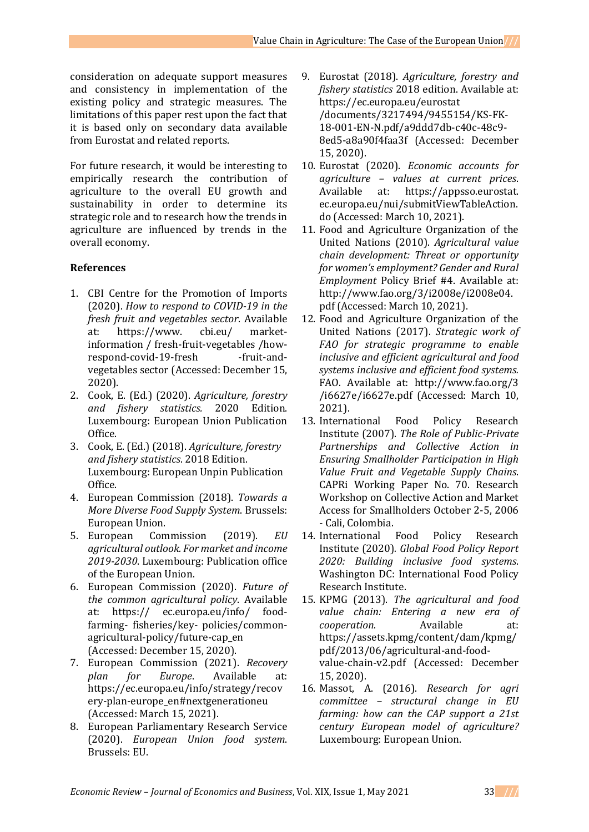consideration on adequate support measures and consistency in implementation of the existing policy and strategic measures. The limitations of this paper rest upon the fact that it is based only on secondary data available from Eurostat and related reports.

For future research, it would be interesting to empirically research the contribution of agriculture to the overall EU growth and sustainability in order to determine its strategic role and to research how the trends in agriculture are influenced by trends in the overall economy.

# **References**

- 1. CBI Centre for the Promotion of Imports (2020). *How to respond to COVID-19 in the fresh fruit and vegetables sector*. Available at: https://www. cbi.eu/ marketinformation / fresh-fruit-vegetables /howrespond-covid-19-fresh -fruit-andvegetables sector (Accessed: December 15, 2020).
- 2. Cook, E. (Ed.) (2020). *Agriculture, forestry and fishery statistics.* 2020 Edition. Luxembourg: European Union Publication Office.
- 3. Cook, E. (Ed.) (2018). *Agriculture, forestry and fishery statistics*. 2018 Edition. Luxembourg: European Unpin Publication Office.
- 4. European Commission (2018). *Towards a More Diverse Food Supply System*. Brussels: European Union.
- 5. European Commission (2019). *EU agricultural outlook. For market and income 2019-2030*. Luxembourg: Publication office of the European Union.
- 6. European Commission (2020). *Future of the common agricultural policy*. Available at: https:// ec.europa.eu/info/ foodfarming- fisheries/key- policies/commonagricultural-policy/future-cap\_en (Accessed: December 15, 2020).
- 7. European Commission (2021). *Recovery plan for Europe*. Available at: https://ec.europa.eu/info/strategy/recov ery-plan-europe\_en#nextgenerationeu (Accessed: March 15, 2021).
- 8. European Parliamentary Research Service (2020). *European Union food system*. Brussels: EU.
- 9. Eurostat (2018). *Agriculture, forestry and fishery statistics* 2018 edition. Available at: https://ec.europa.eu/eurostat /documents/3217494/9455154/KS-FK-18-001-EN-N.pdf/a9ddd7db-c40c-48c9- 8ed5-a8a90f4faa3f (Accessed: December 15, 2020).
- 10. Eurostat (2020). *Economic accounts for agriculture – values at current prices*. Available at: https://appsso.eurostat. ec.europa.eu/nui/submitViewTableAction. do (Accessed: March 10, 2021).
- 11. Food and Agriculture Organization of the United Nations (2010). *Agricultural value chain development: Threat or opportunity for women's employment? Gender and Rural Employment* Policy Brief #4. Available at: http://www.fao.org/3/i2008e/i2008e04. pdf (Accessed: March 10, 2021).
- 12. Food and Agriculture Organization of the United Nations (2017). *Strategic work of FAO for strategic programme to enable inclusive and efficient agricultural and food systems inclusive and efficient food systems.* FAO. Available at: http://www.fao.org/3 /i6627e/i6627e.pdf (Accessed: March 10, 2021).
- 13. International Food Policy Research Institute (2007). *The Role of Public-Private Partnerships and Collective Action in Ensuring Smallholder Participation in High Value Fruit and Vegetable Supply Chains*. CAPRi Working Paper No. 70. Research Workshop on Collective Action and Market Access for Smallholders October 2-5, 2006 - Cali, Colombia.
- 14. International Food Policy Research Institute (2020)*. Global Food Policy Report 2020: Building inclusive food systems*. Washington DC: International Food Policy Research Institute.
- 15. KPMG (2013). *The agricultural and food value chain: Entering a new era of cooperation*. Available at: https://assets.kpmg/content/dam/kpmg/ pdf/2013/06/agricultural-and-foodvalue-chain-v2.pdf (Accessed: December 15, 2020).
- 16. Massot, A. (2016). *Research for agri committee – structural change in EU farming: how can the CAP support a 21st century European model of agriculture?* Luxembourg: European Union.